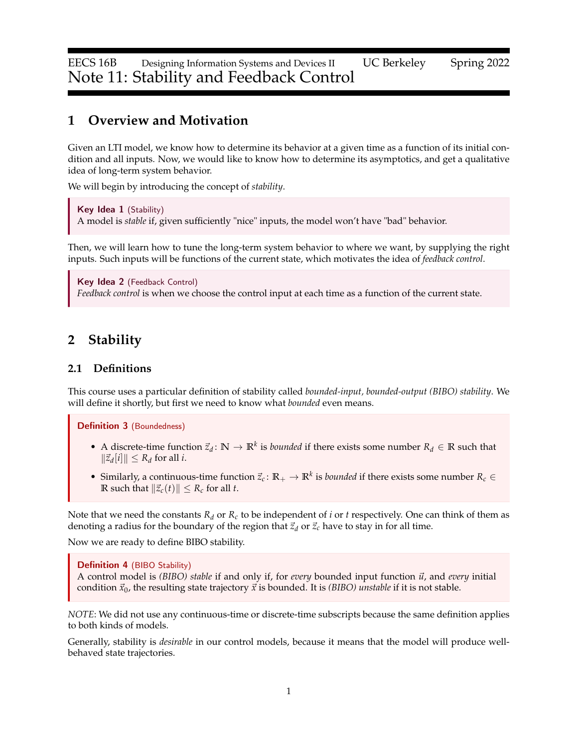EECS 16B Designing Information Systems and Devices II UC Berkeley Spring 2022 Note 11: Stability and Feedback Control

# **1 Overview and Motivation**

Given an LTI model, we know how to determine its behavior at a given time as a function of its initial condition and all inputs. Now, we would like to know how to determine its asymptotics, and get a qualitative idea of long-term system behavior.

We will begin by introducing the concept of *stability*.

Key Idea 1 (Stability) A model is *stable* if, given sufficiently "nice" inputs, the model won't have "bad" behavior.

Then, we will learn how to tune the long-term system behavior to where we want, by supplying the right inputs. Such inputs will be functions of the current state, which motivates the idea of *feedback control*.

Key Idea 2 (Feedback Control) *Feedback control* is when we choose the control input at each time as a function of the current state.

# <span id="page-0-0"></span>**2 Stability**

### **2.1 Definitions**

This course uses a particular definition of stability called *bounded-input, bounded-output (BIBO) stability*. We will define it shortly, but first we need to know what *bounded* even means.

Definition 3 (Boundedness)

- A discrete-time function  $\vec{z}_d$ :  $\mathbb{N} \to \mathbb{R}^k$  is *bounded* if there exists some number  $R_d \in \mathbb{R}$  such that  $\|\vec{z}_d[i]\|$  ≤  $R_d$  for all *i*.
- Similarly, a continuous-time function  $\vec{z}_c$ :  $\mathbb{R}_+ \to \mathbb{R}^k$  is *bounded* if there exists some number  $R_c \in$ **R** such that  $\left|\vec{z}_c(t)\right|$  ≤  $R_c$  for all *t*.

Note that we need the constants  $R_d$  or  $R_c$  to be independent of *i* or *t* respectively. One can think of them as denoting a radius for the boundary of the region that  $\vec{z}_d$  or  $\vec{z}_c$  have to stay in for all time.

Now we are ready to define BIBO stability.

#### Definition 4 (BIBO Stability)

A control model is *(BIBO) stable* if and only if, for *every* bounded input function ⃗*u*, and *every* initial condition  $\vec{x}_0$ , the resulting state trajectory  $\vec{x}$  is bounded. It is *(BIBO) unstable* if it is not stable.

*NOTE*: We did not use any continuous-time or discrete-time subscripts because the same definition applies to both kinds of models.

Generally, stability is *desirable* in our control models, because it means that the model will produce wellbehaved state trajectories.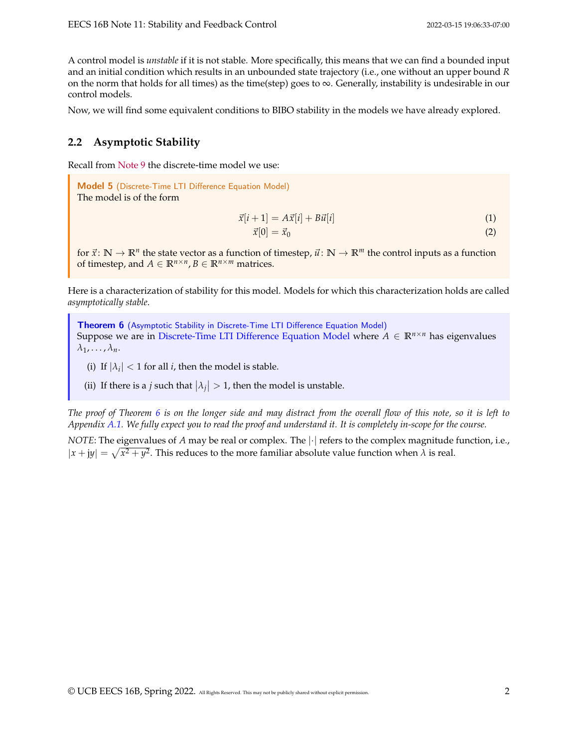A control model is *unstable* if it is not stable. More specifically, this means that we can find a bounded input and an initial condition which results in an unbounded state trajectory (i.e., one without an upper bound *R* on the norm that holds for all times) as the time(step) goes to  $\infty$ . Generally, instability is undesirable in our control models.

Now, we will find some equivalent conditions to BIBO stability in the models we have already explored.

### <span id="page-1-2"></span>**2.2 Asymptotic Stability**

Recall from [Note 9](https://www.eecs16b.org/notes/sp22/note9.pdf) the discrete-time model we use:

<span id="page-1-0"></span>Model 5 (Discrete-Time LTI Difference Equation Model) The model is of the form

$$
\vec{x}[i+1] = A\vec{x}[i] + B\vec{u}[i] \tag{1}
$$

$$
\vec{x}[0] = \vec{x}_0 \tag{2}
$$

for  $\vec{x}$ :  $\mathbb{N} \to \mathbb{R}^n$  the state vector as a function of timestep,  $\vec{u}$ :  $\mathbb{N} \to \mathbb{R}^m$  the control inputs as a function of timestep, and  $A \in \mathbb{R}^{n \times n}$ ,  $B \in \mathbb{R}^{n \times m}$  matrices.

Here is a characterization of stability for this model. Models for which this characterization holds are called *asymptotically stable*.

<span id="page-1-1"></span>Theorem 6 (Asymptotic Stability in [Discrete-Time LTI Difference Equation Model\)](#page-1-0) Suppose we are in [Discrete-Time LTI Difference Equation Model](#page-1-0) where  $A \in \mathbb{R}^{n \times n}$  has eigenvalues  $\lambda_1, \ldots, \lambda_n$ .

- (i) If  $|\lambda_i|$  < 1 for all *i*, then the model is stable.
- (ii) If there is a *j* such that  $|\lambda_j| > 1$ , then the model is unstable.

*The proof of Theorem [6](#page-1-1) is on the longer side and may distract from the overall flow of this note, so it is left to Appendix [A.1.](#page-12-0) We fully expect you to read the proof and understand it. It is completely in-scope for the course.*

*NOTE*: The eigenvalues of *A* may be real or complex. The  $|\cdot|$  refers to the complex magnitude function, i.e.,  $|x + jy| = \sqrt{x^2 + y^2}$ . This reduces to the more familiar absolute value function when  $\lambda$  is real.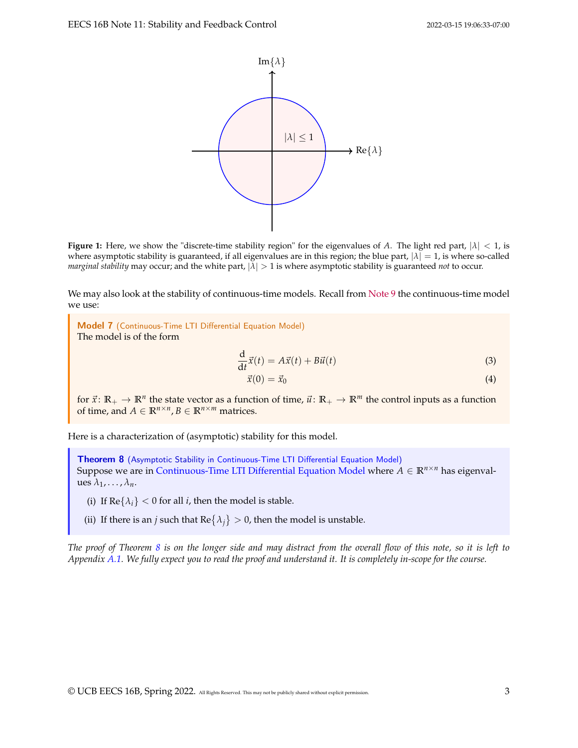

**Figure 1:** Here, we show the "discrete-time stability region" for the eigenvalues of *A*. The light red part,  $|\lambda| < 1$ , is where asymptotic stability is guaranteed, if all eigenvalues are in this region; the blue part,  $|\lambda| = 1$ , is where so-called *marginal stability* may occur; and the white part,  $|λ| > 1$  is where asymptotic stability is guaranteed *not* to occur.

We may also look at the stability of continuous-time models. Recall from [Note 9](https://www.eecs16b.org/notes/sp22/note9.pdf) the continuous-time model we use:

<span id="page-2-0"></span>Model 7 (Continuous-Time LTI Differential Equation Model) The model is of the form

$$
\frac{d}{dt}\vec{x}(t) = A\vec{x}(t) + B\vec{u}(t)
$$
\n(3)

$$
\vec{x}(0) = \vec{x}_0 \tag{4}
$$

for  $\vec{x}$ :  $\mathbb{R}_+ \to \mathbb{R}^n$  the state vector as a function of time,  $\vec{u}$ :  $\mathbb{R}_+ \to \mathbb{R}^m$  the control inputs as a function of time, and  $A \in \mathbb{R}^{n \times n}$ ,  $B \in \mathbb{R}^{n \times m}$  matrices.

Here is a characterization of (asymptotic) stability for this model.

<span id="page-2-1"></span>Theorem 8 (Asymptotic Stability in [Continuous-Time LTI Differential Equation Model\)](#page-2-0) Suppose we are in [Continuous-Time LTI Differential Equation Model](#page-2-0) where  $A \in \mathbb{R}^{n \times n}$  has eigenvalues  $\lambda_1, \ldots, \lambda_n$ .

(i) If  $\text{Re}\{\lambda_i\} < 0$  for all *i*, then the model is stable.

(ii) If there is an *j* such that  $\text{Re} \{\lambda_j\} > 0$ , then the model is unstable.

*The proof of Theorem [8](#page-2-1) is on the longer side and may distract from the overall flow of this note, so it is left to Appendix [A.1.](#page-12-0) We fully expect you to read the proof and understand it. It is completely in-scope for the course.*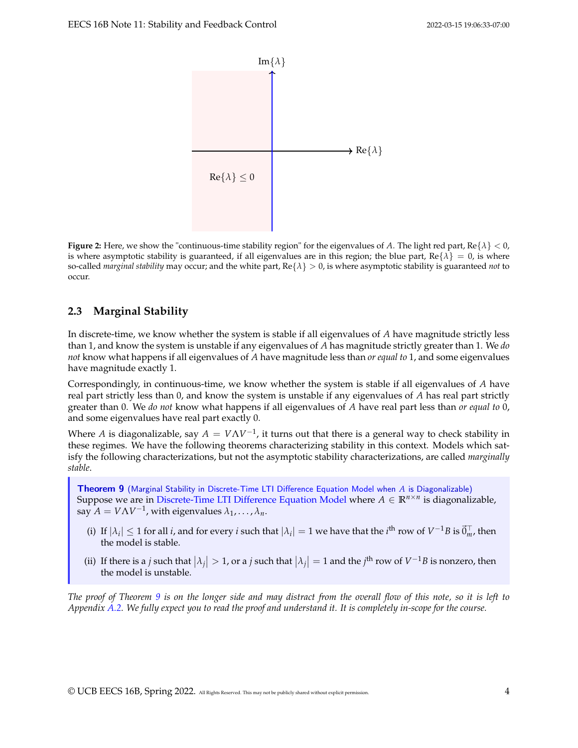

**Figure 2:** Here, we show the "continuous-time stability region" for the eigenvalues of A. The light red part,  $Re\{\lambda\} < 0$ , is where asymptotic stability is guaranteed, if all eigenvalues are in this region; the blue part,  $Re\{\lambda\} = 0$ , is where so-called *marginal stability* may occur; and the white part, Re{*λ*} > 0, is where asymptotic stability is guaranteed *not* to occur.

### <span id="page-3-1"></span>**2.3 Marginal Stability**

In discrete-time, we know whether the system is stable if all eigenvalues of *A* have magnitude strictly less than 1, and know the system is unstable if any eigenvalues of *A* has magnitude strictly greater than 1. We *do not* know what happens if all eigenvalues of *A* have magnitude less than *or equal to* 1, and some eigenvalues have magnitude exactly 1.

Correspondingly, in continuous-time, we know whether the system is stable if all eigenvalues of *A* have real part strictly less than 0, and know the system is unstable if any eigenvalues of *A* has real part strictly greater than 0. We *do not* know what happens if all eigenvalues of *A* have real part less than *or equal to* 0, and some eigenvalues have real part exactly 0.

Where *A* is diagonalizable, say  $A = V\Lambda V^{-1}$ , it turns out that there is a general way to check stability in these regimes. We have the following theorems characterizing stability in this context. Models which satisfy the following characterizations, but not the asymptotic stability characterizations, are called *marginally stable*.

<span id="page-3-0"></span>Theorem 9 (Marginal Stability in [Discrete-Time LTI Difference Equation Model](#page-1-0) when *A* is Diagonalizable) Suppose we are in [Discrete-Time LTI Difference Equation Model](#page-1-0) where *A* ∈ **R***n*×*<sup>n</sup>* is diagonalizable,  $\sum_{i=1}^{n} A_i = V \Lambda V^{-1}$ , with eigenvalues  $\lambda_1, \ldots, \lambda_n$ .

- (i) If  $|\lambda_i| \leq 1$  for all *i*, and for every *i* such that  $|\lambda_i| = 1$  we have that the *i*<sup>th</sup> row of  $V^{-1}B$  is  $\vec{0}_m^{\top}$ , then the model is stable.
- (ii) If there is a *j* such that  $|\lambda_j| > 1$ , or a *j* such that  $|\lambda_j| = 1$  and the *j*<sup>th</sup> row of  $V^{-1}B$  is nonzero, then the model is unstable.

*The proof of Theorem [9](#page-3-0) is on the longer side and may distract from the overall flow of this note, so it is left to Appendix [A.2.](#page-21-0) We fully expect you to read the proof and understand it. It is completely in-scope for the course.*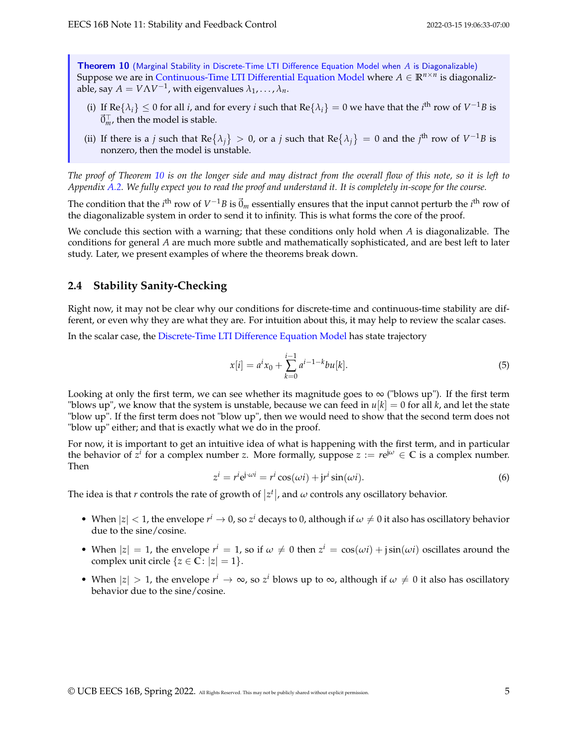<span id="page-4-0"></span>Theorem 10 (Marginal Stability in [Discrete-Time LTI Difference Equation Model](#page-1-0) when *A* is Diagonalizable) Suppose we are in [Continuous-Time LTI Differential Equation Model](#page-2-0) where  $A \in \mathbb{R}^{n \times n}$  is diagonalizable, say  $A = V\Lambda V^{-1}$ , with eigenvalues  $\lambda_1, \ldots, \lambda_n$ .

- (i) If  $\text{Re} \{\lambda_i\} \leq 0$  for all *i*, and for every *i* such that  $\text{Re} \{\lambda_i\} = 0$  we have that the *i*<sup>th</sup> row of  $V^{-1}B$  is  $\vec{0}_m^{\top}$  , then the model is stable.
- (ii) If there is a *j* such that Re $\{\lambda_j\} > 0$ , or a *j* such that Re $\{\lambda_j\} = 0$  and the *j*<sup>th</sup> row of  $V^{-1}B$  is nonzero, then the model is unstable.

*The proof of Theorem [10](#page-4-0) is on the longer side and may distract from the overall flow of this note, so it is left to Appendix [A.2.](#page-21-0) We fully expect you to read the proof and understand it. It is completely in-scope for the course.*

The condition that the  $i^{\text{th}}$  row of  $V^{-1}B$  is  $\vec{0}_m$  essentially ensures that the input cannot perturb the  $i^{\text{th}}$  row of the diagonalizable system in order to send it to infinity. This is what forms the core of the proof.

We conclude this section with a warning; that these conditions only hold when *A* is diagonalizable. The conditions for general *A* are much more subtle and mathematically sophisticated, and are best left to later study. Later, we present examples of where the theorems break down.

### **2.4 Stability Sanity-Checking**

Right now, it may not be clear why our conditions for discrete-time and continuous-time stability are different, or even why they are what they are. For intuition about this, it may help to review the scalar cases.

In the scalar case, the [Discrete-Time LTI Difference Equation Model](#page-1-0) has state trajectory

$$
x[i] = a^i x_0 + \sum_{k=0}^{i-1} a^{i-1-k} b u[k].
$$
\n(5)

Looking at only the first term, we can see whether its magnitude goes to  $\infty$  ("blows up"). If the first term "blows up", we know that the system is unstable, because we can feed in  $u[k] = 0$  for all *k*, and let the state "blow up". If the first term does not "blow up", then we would need to show that the second term does not "blow up" either; and that is exactly what we do in the proof.

For now, it is important to get an intuitive idea of what is happening with the first term, and in particular the behavior of  $\bar{z}^i$  for a complex number *z*. More formally, suppose  $z := re^{j\omega} \in \mathbb{C}$  is a complex number. Then

$$
z^{i} = r^{i} e^{j \cdot \omega i} = r^{i} \cos(\omega i) + j r^{i} \sin(\omega i).
$$
 (6)

The idea is that *r* controls the rate of growth of  $|z^t|$ , and  $\omega$  controls any oscillatory behavior.

- When  $|z| < 1$ , the envelope  $r^i \to 0$ , so  $z^i$  decays to 0, although if  $\omega \neq 0$  it also has oscillatory behavior due to the sine/cosine.
- When  $|z| = 1$ , the envelope  $r^i = 1$ , so if  $\omega \neq 0$  then  $z^i = \cos(\omega i) + j\sin(\omega i)$  oscillates around the complex unit circle  $\{z \in \overline{C} : |z| = 1\}.$
- When  $|z| > 1$ , the envelope  $r^i \to \infty$ , so  $z^i$  blows up to  $\infty$ , although if  $\omega \neq 0$  it also has oscillatory behavior due to the sine/cosine.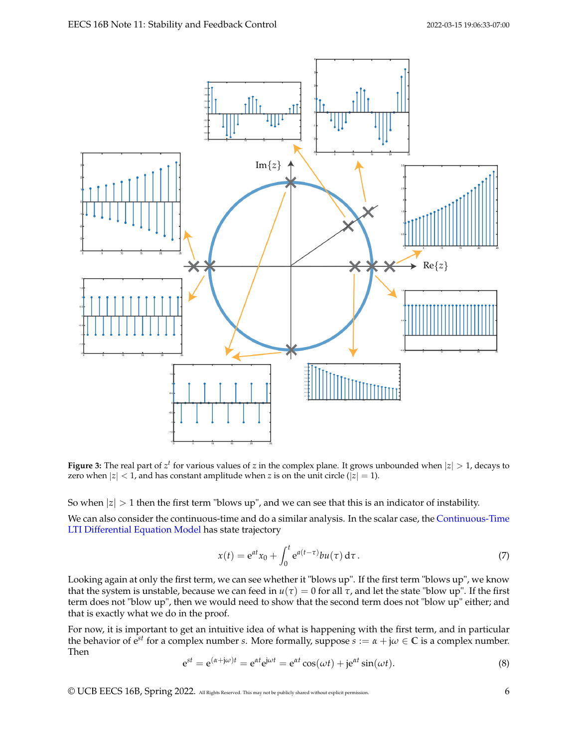

**Figure 3:** The real part of  $z^t$  for various values of *z* in the complex plane. It grows unbounded when  $|z| > 1$ , decays to zero when  $|z| < 1$ , and has constant amplitude when *z* is on the unit circle ( $|z| = 1$ ).

So when  $|z| > 1$  then the first term "blows up", and we can see that this is an indicator of instability.

We can also consider the continuous-time and do a similar analysis. In the scalar case, the [Continuous-Time](#page-2-0) [LTI Differential Equation Model](#page-2-0) has state trajectory

$$
x(t) = e^{at}x_0 + \int_0^t e^{a(t-\tau)}bu(\tau) d\tau.
$$
 (7)

Looking again at only the first term, we can see whether it "blows up". If the first term "blows up", we know that the system is unstable, because we can feed in  $u(τ) = 0$  for all  $τ$ , and let the state "blow up". If the first term does not "blow up", then we would need to show that the second term does not "blow up" either; and that is exactly what we do in the proof.

For now, it is important to get an intuitive idea of what is happening with the first term, and in particular the behavior of  $e^{st}$  for a complex number *s*. More formally, suppose  $s := \alpha + j\omega \in \mathbb{C}$  is a complex number. Then

$$
e^{st} = e^{(\alpha + j\omega)t} = e^{\alpha t} e^{j\omega t} = e^{\alpha t} \cos(\omega t) + j e^{\alpha t} \sin(\omega t).
$$
\n(8)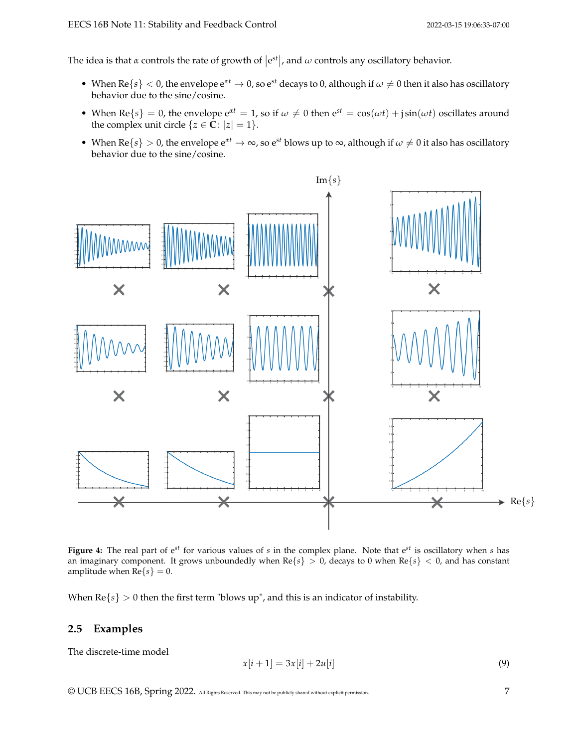The idea is that  $\alpha$  controls the rate of growth of  $|e^{st}|$ , and  $\omega$  controls any oscillatory behavior.

- When  $\text{Re}\{s\} < 0$ , the envelope  $e^{\alpha t} \to 0$ , so  $e^{st}$  decays to 0, although if  $\omega \neq 0$  then it also has oscillatory behavior due to the sine/cosine.
- When  $\text{Re}\{s\} = 0$ , the envelope  $e^{\alpha t} = 1$ , so if  $\omega \neq 0$  then  $e^{st} = \cos(\omega t) + j\sin(\omega t)$  oscillates around the complex unit circle  $\{z \in \mathbb{C} : |z| = 1\}.$
- When  $\text{Re}\{s\} > 0$ , the envelope  $e^{\alpha t} \to \infty$ , so  $e^{st}$  blows up to  $\infty$ , although if  $\omega \neq 0$  it also has oscillatory behavior due to the sine/cosine.



**Figure 4:** The real part of e*st* for various values of *s* in the complex plane. Note that e*st* is oscillatory when *s* has an imaginary component. It grows unboundedly when Re{*s*} > 0, decays to 0 when Re{*s*} < 0, and has constant amplitude when  $\text{Re}\{s\} = 0$ .

When  $\text{Re}\{s\} > 0$  then the first term "blows up", and this is an indicator of instability.

### **2.5 Examples**

The discrete-time model

$$
x[i+1] = 3x[i] + 2u[i] \tag{9}
$$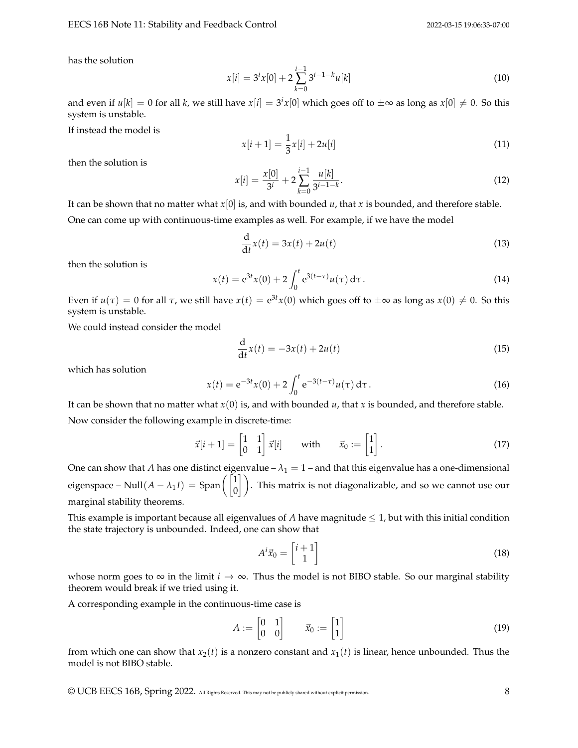#### EECS 16B Note 11: Stability and Feedback Control 2022-03-15 19:06:33-07:00

has the solution

$$
x[i] = 3^i x[0] + 2 \sum_{k=0}^{i-1} 3^{i-1-k} u[k]
$$
\n(10)

and even if  $u[k]=0$  for all  $k$ , we still have  $x[i]=3^i x[0]$  which goes off to  $\pm\infty$  as long as  $x[0]\neq 0.$  So this system is unstable.

If instead the model is

$$
x[i+1] = \frac{1}{3}x[i] + 2u[i] \tag{11}
$$

then the solution is

$$
x[i] = \frac{x[0]}{3^i} + 2\sum_{k=0}^{i-1} \frac{u[k]}{3^{i-1-k}}.
$$
\n(12)

It can be shown that no matter what *x*[0] is, and with bounded *u*, that *x* is bounded, and therefore stable.

One can come up with continuous-time examples as well. For example, if we have the model

$$
\frac{\mathrm{d}}{\mathrm{d}t}x(t) = 3x(t) + 2u(t) \tag{13}
$$

then the solution is

$$
x(t) = e^{3t}x(0) + 2\int_0^t e^{3(t-\tau)}u(\tau) d\tau.
$$
 (14)

Even if  $u(\tau) = 0$  for all  $\tau$ , we still have  $x(t) = e^{3t}x(0)$  which goes off to  $\pm\infty$  as long as  $x(0) \neq 0$ . So this system is unstable.

We could instead consider the model

$$
\frac{\mathrm{d}}{\mathrm{d}t}x(t) = -3x(t) + 2u(t) \tag{15}
$$

which has solution

$$
x(t) = e^{-3t}x(0) + 2\int_0^t e^{-3(t-\tau)}u(\tau) d\tau.
$$
 (16)

It can be shown that no matter what  $x(0)$  is, and with bounded  $u$ , that  $x$  is bounded, and therefore stable. Now consider the following example in discrete-time:

$$
\vec{x}[i+1] = \begin{bmatrix} 1 & 1 \\ 0 & 1 \end{bmatrix} \vec{x}[i] \quad \text{with} \quad \vec{x}_0 := \begin{bmatrix} 1 \\ 1 \end{bmatrix}.
$$
 (17)

One can show that *A* has one distinct eigenvalue –  $\lambda_1 = 1$  – and that this eigenvalue has a one-dimensional eigenspace – Null $(A - \lambda_1 I)$  = Span $\begin{pmatrix} 1 \ 0 \end{pmatrix}$ . This matrix is not diagonalizable, and so we cannot use our marginal stability theorems.

This example is important because all eigenvalues of  $A$  have magnitude  $\leq 1$ , but with this initial condition the state trajectory is unbounded. Indeed, one can show that

$$
A^i \vec{x}_0 = \begin{bmatrix} i+1\\1 \end{bmatrix} \tag{18}
$$

whose norm goes to  $\infty$  in the limit  $i \to \infty$ . Thus the model is not BIBO stable. So our marginal stability theorem would break if we tried using it.

A corresponding example in the continuous-time case is

$$
A := \begin{bmatrix} 0 & 1 \\ 0 & 0 \end{bmatrix} \qquad \vec{x}_0 := \begin{bmatrix} 1 \\ 1 \end{bmatrix} \tag{19}
$$

from which one can show that  $x_2(t)$  is a nonzero constant and  $x_1(t)$  is linear, hence unbounded. Thus the model is not BIBO stable.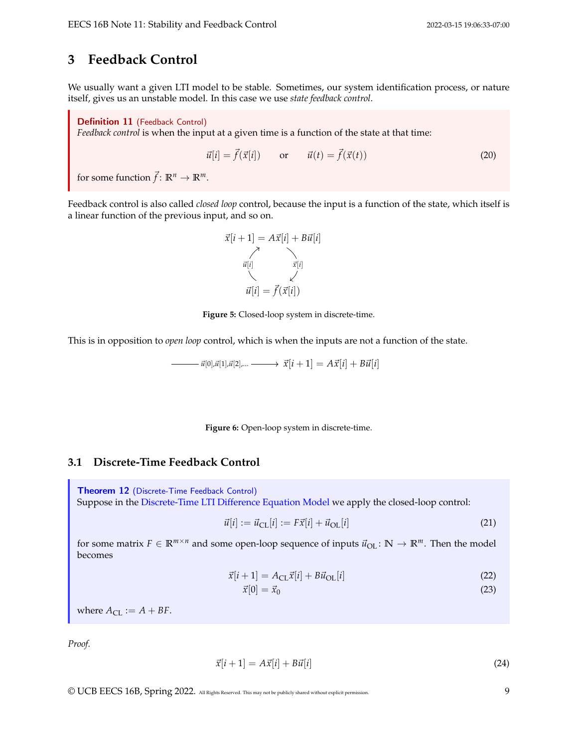# **3 Feedback Control**

We usually want a given LTI model to be stable. Sometimes, our system identification process, or nature itself, gives us an unstable model. In this case we use *state feedback control*.

Definition 11 (Feedback Control)

*Feedback control* is when the input at a given time is a function of the state at that time:

$$
\vec{u}[i] = \vec{f}(\vec{x}[i]) \qquad \text{or} \qquad \vec{u}(t) = \vec{f}(\vec{x}(t)) \tag{20}
$$

for some function  $\vec{f}$ :  $\mathbb{R}^n \to \mathbb{R}^m$ .

Feedback control is also called *closed loop* control, because the input is a function of the state, which itself is a linear function of the previous input, and so on.

$$
\vec{x}[i+1] = A\vec{x}[i] + B\vec{u}[i]
$$
\n
$$
\vec{u}[i] \qquad \qquad \vec{x}[i]
$$
\n
$$
\vec{u}[i] = \vec{f}(\vec{x}[i])
$$

**Figure 5:** Closed-loop system in discrete-time.

This is in opposition to *open loop* control, which is when the inputs are not a function of the state.

$$
\underline{\hspace{2cm}}\qquad \qquad \vec{u}[0],\vec{u}[1],\vec{u}[2],\dots \underline{\hspace{2cm}} \underline{\hspace{2cm}}\times \vec{X}[i+1] = A\vec{x}[i] + B\vec{u}[i]
$$

**Figure 6:** Open-loop system in discrete-time.

### **3.1 Discrete-Time Feedback Control**

Theorem 12 (Discrete-Time Feedback Control) Suppose in the [Discrete-Time LTI Difference Equation Model](#page-1-0) we apply the closed-loop control:

$$
\vec{u}[i] := \vec{u}_{\text{CL}}[i] := F\vec{x}[i] + \vec{u}_{\text{OL}}[i] \tag{21}
$$

for some matrix  $F \in \mathbb{R}^{m \times n}$  and some open-loop sequence of inputs  $\vec{u}_{OL} : \mathbb{N} \to \mathbb{R}^m$ . Then the model becomes

$$
\vec{x}[i+1] = A_{\text{CL}}\vec{x}[i] + B\vec{u}_{\text{OL}}[i] \tag{22}
$$

$$
\vec{x}[0] = \vec{x}_0 \tag{23}
$$

where  $A_{\text{CL}} := A + BF$ .

*Proof.*

$$
\vec{x}[i+1] = A\vec{x}[i] + B\vec{u}[i] \tag{24}
$$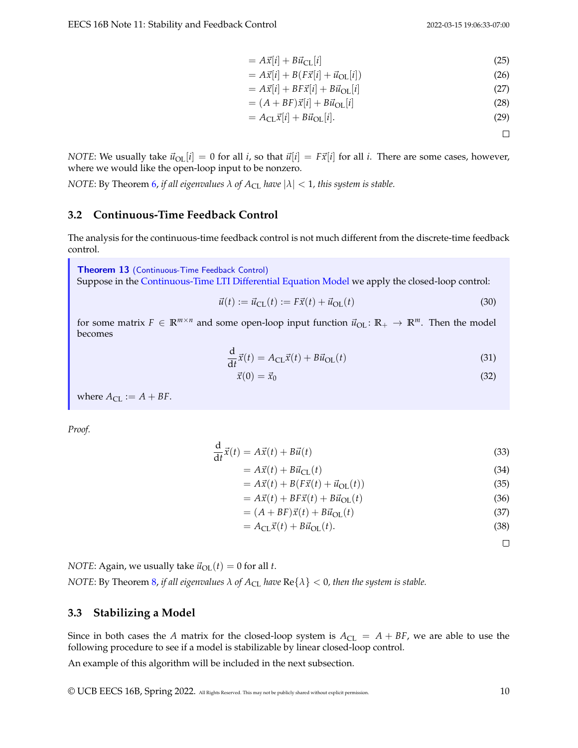$$
=A\vec{x}[i] + B\vec{u}_{\text{CL}}[i] \tag{25}
$$

$$
=A\vec{x}[i] + B(F\vec{x}[i] + \vec{u}_{\text{OL}}[i])\tag{26}
$$

$$
=A\vec{x}[i] + BF\vec{x}[i] + B\vec{u}_{\text{OL}}[i] \tag{27}
$$

$$
= (A + BF)\vec{x}[i] + B\vec{u}_{\text{OL}}[i] \tag{28}
$$

$$
= A_{\rm CL} \vec{x}[i] + B \vec{u}_{\rm OL}[i]. \tag{29}
$$

 $\Box$ 

*NOTE*: We usually take  $\vec{u}_{OL}[i] = 0$  for all *i*, so that  $\vec{u}[i] = F\vec{x}[i]$  for all *i*. There are some cases, however, where we would like the open-loop input to be nonzero.

*NOTE*: By Theorem [6,](#page-1-1) *if all eigenvalues*  $\lambda$  *of*  $A_{CL}$  *have*  $|\lambda| < 1$ *, this system is stable.* 

### **3.2 Continuous-Time Feedback Control**

The analysis for the continuous-time feedback control is not much different from the discrete-time feedback control.

Theorem 13 (Continuous-Time Feedback Control) Suppose in the [Continuous-Time LTI Differential Equation Model](#page-2-0) we apply the closed-loop control:

$$
\vec{u}(t) := \vec{u}_{\text{CL}}(t) := F\vec{x}(t) + \vec{u}_{\text{OL}}(t) \tag{30}
$$

for some matrix  $F \in \mathbb{R}^{m \times n}$  and some open-loop input function  $\vec{u}_{OL} : \mathbb{R}_+ \to \mathbb{R}^m$ . Then the model becomes

$$
\frac{\mathrm{d}}{\mathrm{d}t}\vec{x}(t) = A_{\mathrm{CL}}\vec{x}(t) + B\vec{u}_{\mathrm{OL}}(t)
$$
\n(31)

$$
\vec{x}(0) = \vec{x}_0 \tag{32}
$$

where  $A_{CL} := A + BF$ .

*Proof.*

$$
\frac{\mathrm{d}}{\mathrm{d}t}\vec{x}(t) = A\vec{x}(t) + B\vec{u}(t) \tag{33}
$$

$$
= A\vec{x}(t) + B\vec{u}_{\text{CL}}(t) \tag{34}
$$

$$
= A\vec{x}(t) + B(F\vec{x}(t) + \vec{u}_{\text{OL}}(t))
$$
\n(35)

$$
= A\vec{x}(t) + BF\vec{x}(t) + B\vec{u}_{\text{OL}}(t) \tag{36}
$$

$$
= (A + BF)\vec{x}(t) + B\vec{u}_{\text{OL}}(t) \tag{37}
$$

$$
= A_{\text{CL}}\vec{x}(t) + B\vec{u}_{\text{OL}}(t). \tag{38}
$$

 $\Box$ 

*NOTE*: Again, we usually take  $\vec{u}_{OL}(t) = 0$  for all *t*. *NOTE*: By Theorem [8,](#page-2-1) *if all eigenvalues*  $\lambda$  *of*  $A_{CL}$  *have*  $Re\{\lambda\} < 0$ *, then the system is stable.* 

### **3.3 Stabilizing a Model**

Since in both cases the *A* matrix for the closed-loop system is  $A_{CL} = A + BF$ , we are able to use the following procedure to see if a model is stabilizable by linear closed-loop control.

An example of this algorithm will be included in the next subsection.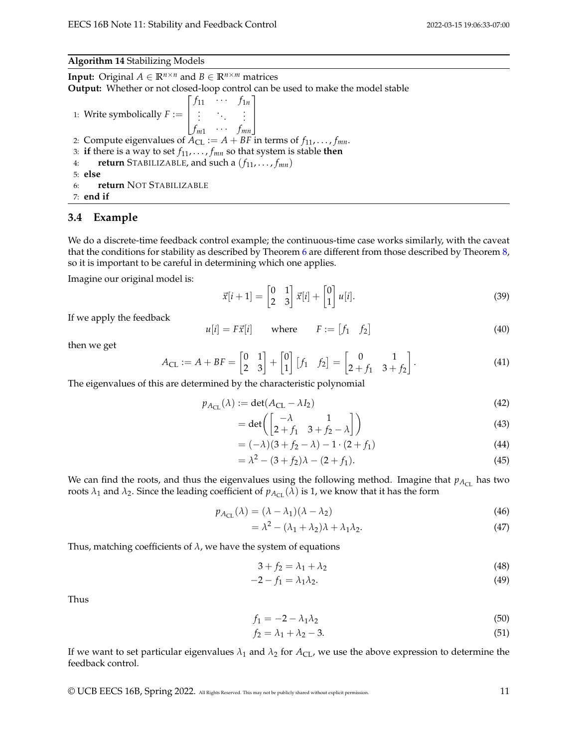#### **Algorithm 14** Stabilizing Models

**Input:** Original  $A \in \mathbb{R}^{n \times n}$  and  $B \in \mathbb{R}^{n \times m}$  matrices **Output:** Whether or not closed-loop control can be used to make the model stable 1: Write symbolically  $F :=$  $\lceil$  $\overline{\phantom{a}}$  $f_{11}$   $\cdots$   $f_{1n}$  $:$   $:$   $:$   $:$  $f_{m1}$   $\cdots$   $f_{mn}$ 1  $\overline{\phantom{a}}$ 2: Compute eigenvalues of  $A_{CL} := A + BF$  in terms of  $f_{11}, \ldots, f_{mn}$ . 3: **if** there is a way to set  $f_1, \ldots, f_m$  so that system is stable **then** 4: **return** STABILIZABLE, and such a  $(f_{11}, \ldots, f_{mn})$ 5: **else** 6: **return** NOT STABILIZABLE 7: **end if**

### **3.4 Example**

We do a discrete-time feedback control example; the continuous-time case works similarly, with the caveat that the conditions for stability as described by Theorem [6](#page-1-1) are different from those described by Theorem [8,](#page-2-1) so it is important to be careful in determining which one applies.

Imagine our original model is:

$$
\vec{x}[i+1] = \begin{bmatrix} 0 & 1 \\ 2 & 3 \end{bmatrix} \vec{x}[i] + \begin{bmatrix} 0 \\ 1 \end{bmatrix} u[i]. \tag{39}
$$

If we apply the feedback

$$
u[i] = F\vec{x}[i] \qquad \text{where} \qquad F := [f_1 \quad f_2] \tag{40}
$$

then we get

$$
A_{\text{CL}} := A + BF = \begin{bmatrix} 0 & 1 \\ 2 & 3 \end{bmatrix} + \begin{bmatrix} 0 \\ 1 \end{bmatrix} \begin{bmatrix} f_1 & f_2 \end{bmatrix} = \begin{bmatrix} 0 & 1 \\ 2 + f_1 & 3 + f_2 \end{bmatrix}.
$$
 (41)

The eigenvalues of this are determined by the characteristic polynomial

$$
p_{A_{\text{CL}}}(\lambda) := \det(A_{\text{CL}} - \lambda I_2) \tag{42}
$$

$$
= det \left( \begin{bmatrix} -\lambda & 1\\ 2+f_1 & 3+f_2-\lambda \end{bmatrix} \right)
$$
 (43)

$$
= (-\lambda)(3 + f_2 - \lambda) - 1 \cdot (2 + f_1)
$$
\n(44)

$$
= \lambda^2 - (3 + f_2)\lambda - (2 + f_1). \tag{45}
$$

We can find the roots, and thus the eigenvalues using the following method. Imagine that  $p_{A_{CL}}$  has two roots  $\lambda_1$  and  $\lambda_2$ . Since the leading coefficient of  $p_{A_{CL}}(\lambda)$  is 1, we know that it has the form

$$
p_{A_{\text{CL}}}(\lambda) = (\lambda - \lambda_1)(\lambda - \lambda_2) \tag{46}
$$

$$
= \lambda^2 - (\lambda_1 + \lambda_2)\lambda + \lambda_1\lambda_2.
$$
 (47)

Thus, matching coefficients of  $\lambda$ , we have the system of equations

$$
3 + f_2 = \lambda_1 + \lambda_2 \tag{48}
$$

$$
-2 - f_1 = \lambda_1 \lambda_2. \tag{49}
$$

Thus

$$
f_1 = -2 - \lambda_1 \lambda_2 \tag{50}
$$

$$
f_2 = \lambda_1 + \lambda_2 - 3. \tag{51}
$$

If we want to set particular eigenvalues  $\lambda_1$  and  $\lambda_2$  for  $A_{CL}$ , we use the above expression to determine the feedback control.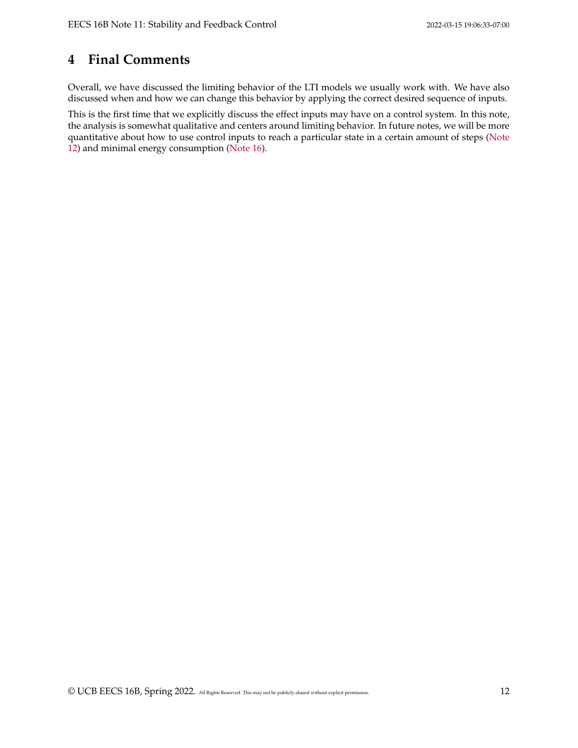# **4 Final Comments**

Overall, we have discussed the limiting behavior of the LTI models we usually work with. We have also discussed when and how we can change this behavior by applying the correct desired sequence of inputs.

This is the first time that we explicitly discuss the effect inputs may have on a control system. In this note, the analysis is somewhat qualitative and centers around limiting behavior. In future notes, we will be more quantitative about how to use control inputs to reach a particular state in a certain amount of steps [\(Note](https://www.eecs16b.org/notes/sp22/note12.pdf) [12\)](https://www.eecs16b.org/notes/sp22/note12.pdf) and minimal energy consumption [\(Note 16\)](https://www.eecs16b.org/notes/sp22/note16.pdf).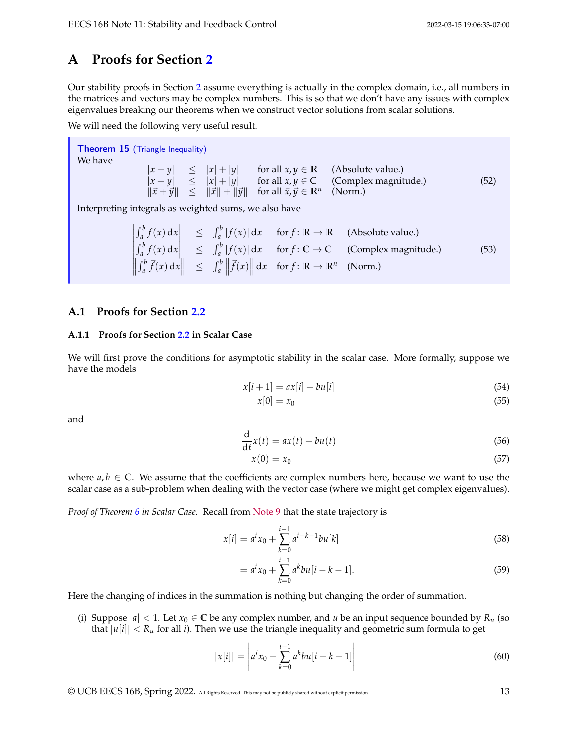# **A Proofs for Section [2](#page-0-0)**

Our stability proofs in Section [2](#page-0-0) assume everything is actually in the complex domain, i.e., all numbers in the matrices and vectors may be complex numbers. This is so that we don't have any issues with complex eigenvalues breaking our theorems when we construct vector solutions from scalar solutions.

We will need the following very useful result.

```
Theorem 15 (Triangle Inequality)
We have
                     |x + y| \le |x| + |y| for all x, y \in \mathbb{R} (Absolute value.)
                     |x + y| \le |x| + |y| for all x, y \in \mathbb{C} (Complex magnitude.)
                     \|\vec{x} + \vec{y}\| \leq \|\vec{x}\| + \|\vec{y}\| for all \vec{x}, \vec{y} \in \mathbb{R}^n(Norm.)
                                                                                                                            (52)
```
Interpreting integrals as weighted sums, we also have

$$
\begin{array}{ccc}\n\left|\int_{a}^{b} f(x) dx \right| & \leq & \int_{a}^{b} |f(x)| dx & \text{for } f: \mathbb{R} \to \mathbb{R} \quad \text{(Absolute value.)} \\
\left|\int_{a}^{b} f(x) dx \right| & \leq & \int_{a}^{b} |f(x)| dx & \text{for } f: \mathbb{C} \to \mathbb{C} \quad \text{(Complex magnitude.)} \\
\left|\int_{a}^{b} \vec{f}(x) dx \right| & \leq & \int_{a}^{b} \left|\vec{f}(x)\right| dx & \text{for } f: \mathbb{R} \to \mathbb{R}^{n} \quad \text{(Norm.)}\n\end{array}
$$
\n(53)

### <span id="page-12-0"></span>**A.1 Proofs for Section [2.2](#page-1-2)**

#### **A.1.1 Proofs for Section [2.2](#page-1-2) in Scalar Case**

We will first prove the conditions for asymptotic stability in the scalar case. More formally, suppose we have the models

$$
x[i+1] = ax[i] + bu[i] \tag{54}
$$

$$
x[0] = x_0 \tag{55}
$$

and

$$
\frac{\mathrm{d}}{\mathrm{d}t}x(t) = ax(t) + bu(t) \tag{56}
$$

$$
x(0) = x_0 \tag{57}
$$

where  $a, b \in \mathbb{C}$ . We assume that the coefficients are complex numbers here, because we want to use the scalar case as a sub-problem when dealing with the vector case (where we might get complex eigenvalues).

*Proof of Theorem [6](#page-1-1) in Scalar Case.* Recall from [Note 9](https://www.eecs16b.org/notes/sp22/note09.pdf) that the state trajectory is

$$
x[i] = a^i x_0 + \sum_{k=0}^{i-1} a^{i-k-1} b u[k]
$$
\n(58)

$$
= a^{i}x_{0} + \sum_{k=0}^{i-1} a^{k}bu[i-k-1].
$$
\n(59)

Here the changing of indices in the summation is nothing but changing the order of summation.

(i) Suppose  $|a| < 1$ . Let  $x_0 \in \mathbb{C}$  be any complex number, and *u* be an input sequence bounded by  $R_u$  (so that  $|u[i]| < R_u$  for all *i*). Then we use the triangle inequality and geometric sum formula to get

$$
|x[i]| = \left| a^i x_0 + \sum_{k=0}^{i-1} a^k b u[i-k-1] \right| \tag{60}
$$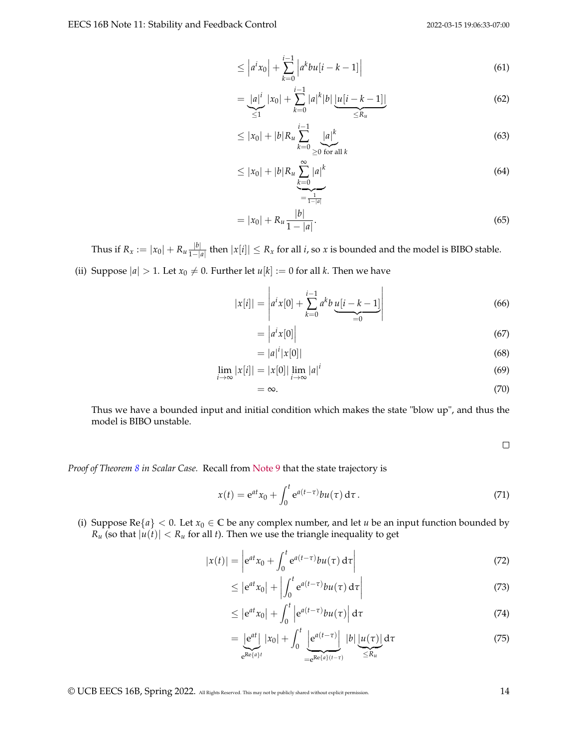$$
\leq \left| a^{i} x_{0} \right| + \sum_{k=0}^{i-1} \left| a^{k} b u[i-k-1] \right| \tag{61}
$$

$$
= \underbrace{|a|^i}_{\leq 1} |x_0| + \sum_{k=0}^{i-1} |a|^k |b| \underbrace{|u[i-k-1]|}_{\leq R_u}
$$
(62)

$$
\leq |x_0| + |b|R_u \sum_{k=0}^{i-1} \underbrace{|a|^k}_{\geq 0 \text{ for all } k} \tag{63}
$$

$$
\leq |x_0| + |b|R_u \sum_{k=0}^{\infty} |a|^k
$$
\n(64)

$$
= |x_0| + R_u \frac{|b|}{1 - |a|}.
$$
 (65)

Thus if  $R_x := |x_0| + R_u \frac{|b|}{1 - |b|}$  $\frac{|v|}{1-|a|}$  then  $|x[i]|$  ≤  $R_x$  for all *i*, so *x* is bounded and the model is BIBO stable.

(ii) Suppose  $|a| > 1$ . Let  $x_0 \neq 0$ . Further let  $u[k] := 0$  for all *k*. Then we have

$$
|x[i]| = \left| a^i x[0] + \sum_{k=0}^{i-1} a^k b \underbrace{u[i-k-1]}_{=0} \right| \tag{66}
$$

$$
= |a^i x[0]| \tag{67}
$$

$$
= |a|^i |x[0]| \tag{68}
$$

$$
\lim_{i \to \infty} |x[i]| = |x[0]| \lim_{i \to \infty} |a|^i \tag{69}
$$

$$
=\infty.\tag{70}
$$

Thus we have a bounded input and initial condition which makes the state "blow up", and thus the model is BIBO unstable.

 $\Box$ 

*Proof of Theorem [8](#page-2-1) in Scalar Case.* Recall from [Note 9](https://www.eecs16b.org/notes/sp22/note09.pdf) that the state trajectory is

$$
x(t) = e^{at}x_0 + \int_0^t e^{a(t-\tau)}bu(\tau) d\tau.
$$
\n(71)

(i) Suppose Re $\{a\} < 0$ . Let  $x_0 \in \mathbb{C}$  be any complex number, and let *u* be an input function bounded by *R<sub>u</sub>* (so that  $|u(t)| < R_u$  for all *t*). Then we use the triangle inequality to get

$$
|x(t)| = \left| e^{at}x_0 + \int_0^t e^{a(t-\tau)}bu(\tau) d\tau \right| \tag{72}
$$

$$
\leq \left| e^{at} x_0 \right| + \left| \int_0^t e^{a(t-\tau)} b u(\tau) d\tau \right| \tag{73}
$$

$$
\leq \left| e^{at} x_0 \right| + \int_0^t \left| e^{a(t-\tau)} b u(\tau) \right| d\tau \tag{74}
$$

$$
= \underbrace{|e^{at}|}_{e^{Re\{a\}t}} |x_0| + \int_0^t \underbrace{|e^{a(t-\tau)}|}_{=e^{Re\{a\}(t-\tau)}} |b| \underbrace{|u(\tau)|}_{\leq R_u} d\tau
$$
\n
$$
(75)
$$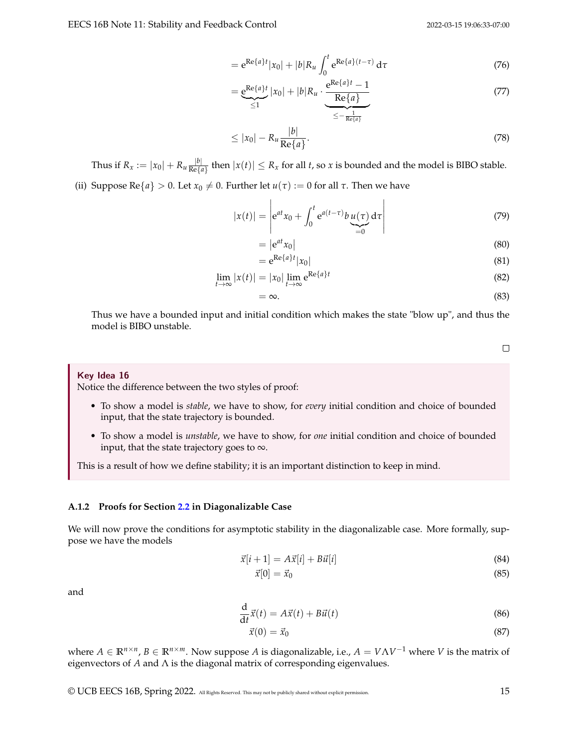$$
= e^{\text{Re}\{a\}t} |x_0| + |b| R_u \int_0^t e^{\text{Re}\{a\}(t-\tau)} d\tau
$$
\n(76)

$$
= \underbrace{e^{Re\{a\}t}}_{\leq 1} |x_0| + |b|R_u \cdot \underbrace{\underbrace{e^{Re\{a\}t} - 1}_{\text{Re}\{a\}}}_{\leq -\frac{1}{Re\{a\}}}
$$
(77)

$$
\leq |x_0| - R_u \frac{|b|}{\text{Re}\{a\}}.\tag{78}
$$

Thus if  $R_x := |x_0| + R_u \frac{|b|}{Re\{a\}}$  $\frac{|v|}{\text{Re}\{a\}}$  then  $|x(t)| \leq R_x$  for all *t*, so *x* is bounded and the model is BIBO stable.

(ii) Suppose Re{ $a$ } > 0. Let  $x_0 \neq 0$ . Further let  $u(\tau) := 0$  for all  $\tau$ . Then we have

$$
|x(t)| = \left| e^{at}x_0 + \int_0^t e^{a(t-\tau)} b \underbrace{u(\tau)}_{=0} d\tau \right| \tag{79}
$$

$$
= |e^{at}x_0|
$$
 (80)

$$
=e^{\operatorname{Re}\{a\}t}|x_0|\tag{81}
$$

$$
\lim_{t \to \infty} |x(t)| = |x_0| \lim_{t \to \infty} e^{\text{Re}\{a\}t}
$$
\n(82)

$$
=\infty.\tag{83}
$$

Thus we have a bounded input and initial condition which makes the state "blow up", and thus the model is BIBO unstable.

 $\Box$ 

#### Key Idea 16

Notice the difference between the two styles of proof:

- To show a model is *stable*, we have to show, for *every* initial condition and choice of bounded input, that the state trajectory is bounded.
- To show a model is *unstable*, we have to show, for *one* initial condition and choice of bounded input, that the state trajectory goes to  $\infty$ .

This is a result of how we define stability; it is an important distinction to keep in mind.

#### **A.1.2 Proofs for Section [2.2](#page-1-2) in Diagonalizable Case**

We will now prove the conditions for asymptotic stability in the diagonalizable case. More formally, suppose we have the models

$$
\vec{x}[i+1] = A\vec{x}[i] + B\vec{u}[i] \tag{84}
$$

$$
\vec{x}[0] = \vec{x}_0 \tag{85}
$$

and

$$
\frac{\mathrm{d}}{\mathrm{d}t}\vec{x}(t) = A\vec{x}(t) + B\vec{u}(t) \tag{86}
$$

$$
\vec{x}(0) = \vec{x}_0 \tag{87}
$$

where  $A \in \mathbb{R}^{n \times n}$ ,  $B \in \mathbb{R}^{n \times m}$ . Now suppose *A* is diagonalizable, i.e.,  $A = V \Lambda V^{-1}$  where *V* is the matrix of eigenvectors of *A* and Λ is the diagonal matrix of corresponding eigenvalues.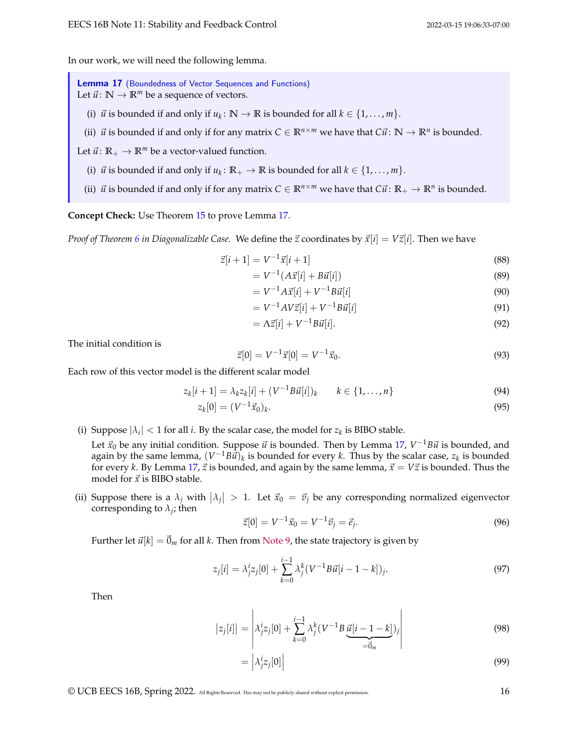In our work, we will need the following lemma.

<span id="page-15-0"></span>Lemma 17 (Boundedness of Vector Sequences and Functions) Let  $\vec{u}$ :  $\mathbb{N} \to \mathbb{R}^m$  be a sequence of vectors.

- (i)  $\vec{u}$  is bounded if and only if  $u_k \colon \mathbb{N} \to \mathbb{R}$  is bounded for all  $k \in \{1, \ldots, m\}$ .
- (ii)  $\vec{u}$  is bounded if and only if for any matrix  $C \in \mathbb{R}^{n \times m}$  we have that  $C\vec{u}$ :  $\mathbb{N} \to \mathbb{R}^n$  is bounded.
- Let  $\vec{u}$ :  $\mathbb{R}_+ \to \mathbb{R}^m$  be a vector-valued function.
	- (i)  $\vec{u}$  is bounded if and only if  $u_k \colon \mathbb{R}_+ \to \mathbb{R}$  is bounded for all  $k \in \{1, \ldots, m\}$ .
	- (ii)  $\vec{u}$  is bounded if and only if for any matrix  $C \in \mathbb{R}^{n \times m}$  we have that  $C\vec{u}$ :  $\mathbb{R}_+ \to \mathbb{R}^n$  is bounded.

**Concept Check:** Use Theorem [15](#page-12-1) to prove Lemma [17.](#page-15-0)

*Proof of Theorem [6](#page-1-1) in Diagonalizable Case.* We define the  $\vec{z}$  coordinates by  $\vec{x}[i] = V\vec{z}[i]$ . Then we have

$$
\vec{z}[i+1] = V^{-1}\vec{x}[i+1] \tag{88}
$$

$$
= V^{-1}(A\vec{x}[i] + B\vec{u}[i])
$$
\n(89)

$$
= V^{-1}A\vec{x}[i] + V^{-1}B\vec{u}[i] \tag{90}
$$

$$
= V^{-1}AV\vec{z}[i] + V^{-1}B\vec{u}[i] \tag{91}
$$

$$
= \Lambda \vec{z}[i] + V^{-1} B \vec{u}[i]. \tag{92}
$$

The initial condition is

$$
\vec{z}[0] = V^{-1}\vec{x}[0] = V^{-1}\vec{x}_0.
$$
\n(93)

Each row of this vector model is the different scalar model

$$
z_k[i+1] = \lambda_k z_k[i] + (V^{-1}B\vec{u}[i])_k \qquad k \in \{1, ..., n\}
$$
\n(94)

$$
z_k[0] = (V^{-1}\vec{x}_0)_k. \tag{95}
$$

(i) Suppose  $|\lambda_i| < 1$  for all *i*. By the scalar case, the model for  $z_k$  is BIBO stable.

Let  $\vec{x}_0$  be any initial condition. Suppose  $\vec{u}$  is bounded. Then by Lemma [17,](#page-15-0)  $V^{-1}B\vec{u}$  is bounded, and again by the same lemma,  $(V^{-1}B\hat{t})_k$  is bounded for every *k*. Thus by the scalar case,  $z_k$  is bounded for every *k*. By Lemma [17,](#page-15-0)  $\vec{z}$  is bounded, and again by the same lemma,  $\vec{x} = V\vec{z}$  is bounded. Thus the model for  $\vec{x}$  is BIBO stable.

(ii) Suppose there is a  $\lambda_j$  with  $|\lambda_j| > 1$ . Let  $\vec{x}_0 = \vec{v}_j$  be any corresponding normalized eigenvector corresponding to  $\lambda_j$ ; then

$$
\vec{z}[0] = V^{-1}\vec{x}_0 = V^{-1}\vec{v}_j = \vec{e}_j.
$$
\n(96)

Further let  $\vec{u}[k] = \vec{0}_m$  for all *k*. Then from [Note 9,](https://www.eecs16b.org/notes/sp22/note09.pdf) the state trajectory is given by

$$
z_j[i] = \lambda_j^i z_j[0] + \sum_{k=0}^{i-1} \lambda_j^k (V^{-1} B \vec{u}[i-1-k]), \qquad (97)
$$

Then

$$
|z_j[i]| = \left| \lambda_j^i z_j[0] + \sum_{k=0}^{i-1} \lambda_j^k (V^{-1} B \underbrace{\vec{u}[i-1-k]}_{=\vec{0}_m})_j \right| \tag{98}
$$

$$
= \left| \lambda_j^i z_j[0] \right| \tag{99}
$$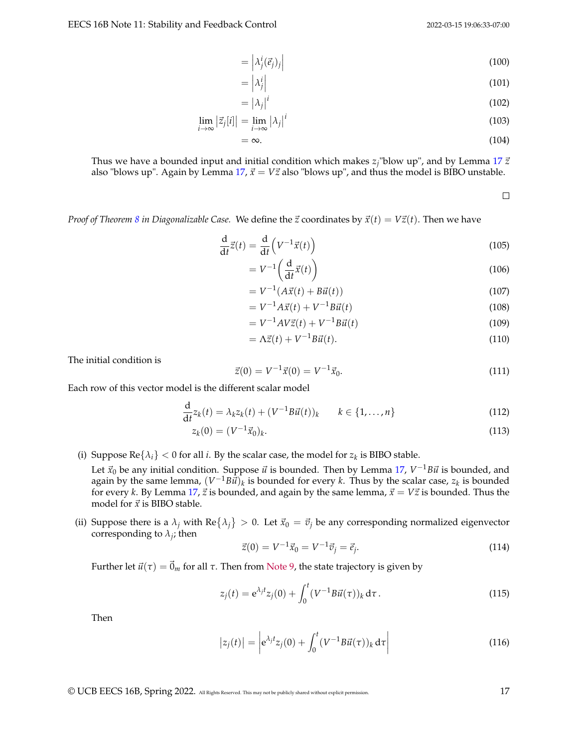$$
= \left| \lambda_j^i(\vec{e}_j)_j \right| \tag{100}
$$

$$
= \left| \lambda_j^i \right| \tag{101}
$$

$$
= |\lambda_j|^i \tag{102}
$$

$$
\lim_{i \to \infty} |\vec{z}_j[i]| = \lim_{i \to \infty} |\lambda_j|^i \tag{103}
$$

$$
=\infty.\tag{104}
$$

Thus we have a bounded input and initial condition which makes  $z_j$ "blow up", and by Lemma [17](#page-15-0)  $\vec{z}$ also "blows up". Again by Lemma  $17$ ,  $\vec{x}$  =  $V\vec{z}$  also "blows up", and thus the model is BIBO unstable.

 $\Box$ 

*Proof of Theorem [8](#page-2-1) in Diagonalizable Case.* We define the  $\vec{z}$  coordinates by  $\vec{x}(t) = V\vec{z}(t)$ . Then we have

$$
\frac{\mathrm{d}}{\mathrm{d}t}\vec{z}(t) = \frac{\mathrm{d}}{\mathrm{d}t}\left(V^{-1}\vec{x}(t)\right) \tag{105}
$$

$$
= V^{-1}\left(\frac{\mathrm{d}}{\mathrm{d}t}\vec{x}(t)\right) \tag{106}
$$

$$
= V^{-1}(A\vec{x}(t) + B\vec{u}(t))
$$
\n(107)

$$
= V^{-1}A\vec{x}(t) + V^{-1}B\vec{u}(t)
$$
\n(108)

$$
= V^{-1}AV\vec{z}(t) + V^{-1}B\vec{u}(t)
$$
\n(109)

$$
= \Lambda \vec{z}(t) + V^{-1} B \vec{u}(t). \tag{110}
$$

The initial condition is

$$
\vec{z}(0) = V^{-1}\vec{x}(0) = V^{-1}\vec{x}_0.
$$
\n(111)

Each row of this vector model is the different scalar model

$$
\frac{d}{dt}z_k(t) = \lambda_k z_k(t) + (V^{-1}B\vec{u}(t))_k \qquad k \in \{1, ..., n\}
$$
\n(112)

$$
z_k(0) = (V^{-1}\vec{x}_0)_k. \tag{113}
$$

(i) Suppose  $\text{Re} \{\lambda_i\} < 0$  for all *i*. By the scalar case, the model for  $z_k$  is BIBO stable.

Let  $\vec{x}_0$  be any initial condition. Suppose  $\vec{u}$  is bounded. Then by Lemma [17,](#page-15-0)  $V^{-1}B\vec{u}$  is bounded, and again by the same lemma,  $(V^{-1}B\hat{u})_k$  is bounded for every *k*. Thus by the scalar case,  $z_k$  is bounded for every *k*. By Lemma [17,](#page-15-0)  $\vec{z}$  is bounded, and again by the same lemma,  $\vec{x} = V\vec{z}$  is bounded. Thus the model for  $\vec{x}$  is BIBO stable.

(ii) Suppose there is a  $\lambda_j$  with  $\text{Re} \{\lambda_j\} > 0$ . Let  $\vec{x}_0 = \vec{v}_j$  be any corresponding normalized eigenvector corresponding to  $\lambda_j$ ; then

$$
\vec{z}(0) = V^{-1}\vec{x}_0 = V^{-1}\vec{v}_j = \vec{e}_j.
$$
\n(114)

Further let  $\vec{u}(\tau) = \vec{0}_m$  for all *τ*. Then from [Note 9,](https://www.eecs16b.org/notes/sp22/note09.pdf) the state trajectory is given by

$$
z_j(t) = e^{\lambda_j t} z_j(0) + \int_0^t (V^{-1} B \vec{u}(\tau))_k d\tau.
$$
 (115)

Then

$$
|z_j(t)| = \left| e^{\lambda_j t} z_j(0) + \int_0^t (V^{-1} B \vec{u}(\tau))_k d\tau \right| \tag{116}
$$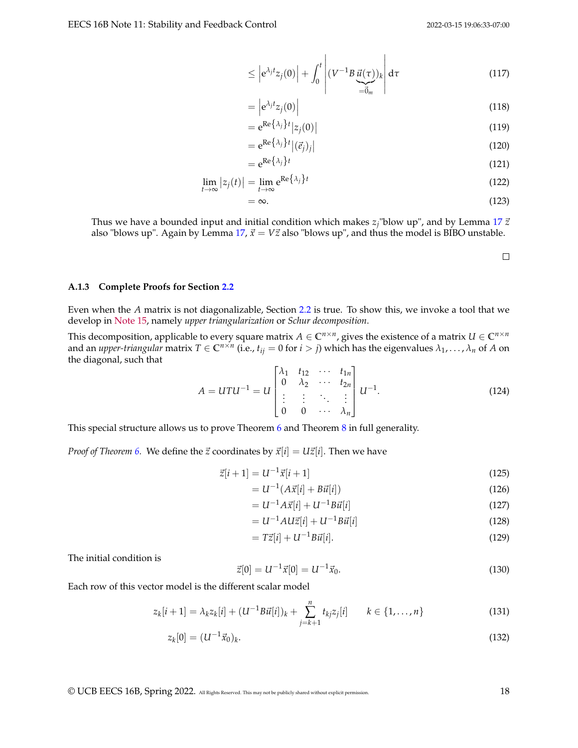$$
\leq \left| e^{\lambda_j t} z_j(0) \right| + \int_0^t \left| (V^{-1} B \underbrace{\vec{u}(\tau)})_k \right| d\tau \tag{117}
$$

 $\mathbf{r}$ 

$$
= \left| e^{\lambda_j t} z_j(0) \right| \tag{118}
$$

$$
= e^{\operatorname{Re}\left\{\lambda_j\right\}t} |z_j(0)| \tag{119}
$$

$$
= e^{\text{Re}\{\lambda_j\}t} |(\vec{e}_j)_j|
$$
\n(120)

$$
= e^{\operatorname{Re}\left\{\lambda_j\right\}t} \tag{121}
$$

$$
\lim_{t \to \infty} |z_j(t)| = \lim_{t \to \infty} e^{\text{Re}\left\{\lambda_j\right\}t} \tag{122}
$$

$$
=\infty.\tag{123}
$$

Thus we have a bounded input and initial condition which makes  $z_j$ "blow up", and by Lemma [17](#page-15-0)  $\vec{z}$ also "blows up". Again by Lemma [17,](#page-15-0)  $\vec{x}$  =  $V\vec{z}$  also "blows up", and thus the model is BIBO unstable.

#### **A.1.3 Complete Proofs for Section [2.2](#page-1-2)**

Even when the *A* matrix is not diagonalizable, Section [2.2](#page-1-2) is true. To show this, we invoke a tool that we develop in [Note 15,](https://www.eecs16b.org/notes/sp22/note15.pdf) namely *upper triangularization* or *Schur decomposition*.

This decomposition, applicable to every square matrix  $A \in \mathbb{C}^{n \times n}$ , gives the existence of a matrix  $U \in \mathbb{C}^{n \times n}$ and an *upper-triangular* matrix  $T \in C^{n \times n}$  (i.e.,  $t_{ij} = 0$  for  $i > j$ ) which has the eigenvalues  $\lambda_1, \ldots, \lambda_n$  of A on the diagonal, such that

$$
A = UTU^{-1} = U \begin{bmatrix} \lambda_1 & t_{12} & \cdots & t_{1n} \\ 0 & \lambda_2 & \cdots & t_{2n} \\ \vdots & \vdots & \ddots & \vdots \\ 0 & 0 & \cdots & \lambda_n \end{bmatrix} U^{-1}.
$$
 (124)

This special structure allows us to prove Theorem [6](#page-1-1) and Theorem [8](#page-2-1) in full generality.

*Proof of Theorem [6.](#page-1-1)* We define the  $\vec{z}$  coordinates by  $\vec{x}[i] = U\vec{z}[i]$ . Then we have

$$
\vec{z}[i+1] = U^{-1}\vec{x}[i+1] \tag{125}
$$

$$
=U^{-1}(A\vec{x}[i] + B\vec{u}[i])
$$
\n(126)

$$
=U^{-1}A\vec{x}[i] + U^{-1}B\vec{u}[i] \tag{127}
$$

$$
=U^{-1}A U\vec{z}[i] + U^{-1}B\vec{u}[i] \tag{128}
$$

$$
= T\vec{z}[i] + U^{-1}B\vec{u}[i].
$$
\n(129)

The initial condition is

$$
\vec{z}[0] = U^{-1}\vec{x}[0] = U^{-1}\vec{x}_0.
$$
\n(130)

Each row of this vector model is the different scalar model

$$
z_k[i+1] = \lambda_k z_k[i] + (U^{-1}B\vec{u}[i])_k + \sum_{j=k+1}^n t_{kj} z_j[i] \qquad k \in \{1, ..., n\}
$$
\n(131)

$$
z_k[0] = (U^{-1}\vec{x}_0)_k. \tag{132}
$$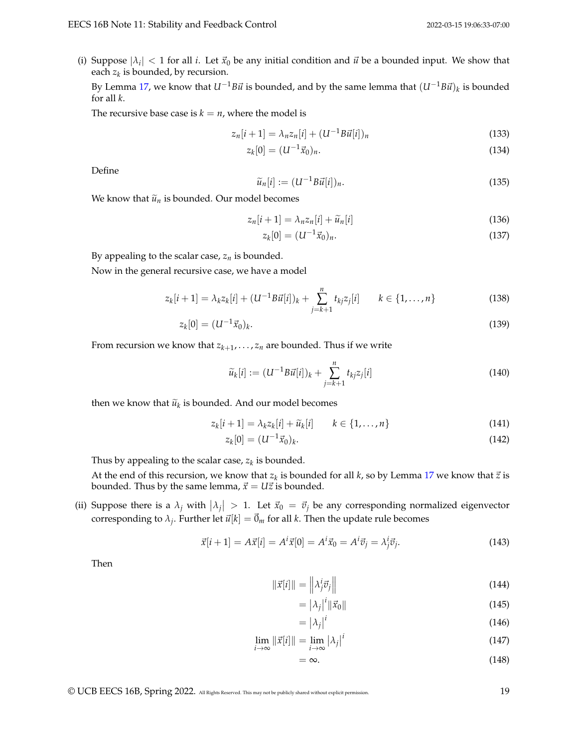(i) Suppose  $|\lambda_i| < 1$  for all *i*. Let  $\vec{x}_0$  be any initial condition and  $\vec{u}$  be a bounded input. We show that each *z<sup>k</sup>* is bounded, by recursion.

By Lemma [17,](#page-15-0) we know that  $U^{-1}B\vec{u}$  is bounded, and by the same lemma that  $(U^{-1}B\vec{u})_k$  is bounded for all *k*.

The recursive base case is  $k = n$ , where the model is

$$
z_n[i+1] = \lambda_n z_n[i] + (U^{-1}B\vec{u}[i])_n
$$
\n(133)

$$
z_k[0] = (U^{-1}\vec{x}_0)_n. \tag{134}
$$

Define

$$
\widetilde{u}_n[i] := (U^{-1}B\vec{u}[i])_n. \tag{135}
$$

We know that  $\tilde{u}_n$  is bounded. Our model becomes

$$
z_n[i+1] = \lambda_n z_n[i] + \widetilde{u}_n[i] \tag{136}
$$

$$
z_k[0] = (U^{-1}\vec{x}_0)_n. \tag{137}
$$

By appealing to the scalar case,  $z_n$  is bounded.

Now in the general recursive case, we have a model

$$
z_k[i+1] = \lambda_k z_k[i] + (U^{-1}B\vec{u}[i])_k + \sum_{j=k+1}^n t_{kj} z_j[i] \qquad k \in \{1, ..., n\}
$$
 (138)

$$
z_k[0] = (U^{-1}\vec{x}_0)_k. \tag{139}
$$

From recursion we know that  $z_{k+1},\ldots,z_n$  are bounded. Thus if we write

$$
\widetilde{u}_k[i] := (U^{-1}B\vec{u}[i])_k + \sum_{j=k+1}^n t_{kj}z_j[i] \tag{140}
$$

then we know that  $\widetilde{u}_k$  is bounded. And our model becomes

$$
z_k[i+1] = \lambda_k z_k[i] + \widetilde{u}_k[i] \qquad k \in \{1, \dots, n\}
$$
\n
$$
(141)
$$

$$
z_k[0] = (U^{-1}\vec{x}_0)_k. \tag{142}
$$

Thus by appealing to the scalar case, *z<sup>k</sup>* is bounded.

At the end of this recursion, we know that  $z_k$  is bounded for all  $k$ , so by Lemma [17](#page-15-0) we know that  $\vec{z}$  is bounded. Thus by the same lemma,  $\vec{x} = U\vec{z}$  is bounded.

(ii) Suppose there is a  $\lambda_j$  with  $|\lambda_j| > 1$ . Let  $\vec{x}_0 = \vec{v}_j$  be any corresponding normalized eigenvector corresponding to  $\lambda_j$ . Further let  $\vec{u}[k] = \vec{0}_m$  for all *k*. Then the update rule becomes

$$
\vec{x}[i+1] = A\vec{x}[i] = A^i \vec{x}[0] = A^i \vec{x}_0 = A^i \vec{v}_j = \lambda^i_j \vec{v}_j.
$$
 (143)

Then

$$
\|\vec{x}[i]\| = \left\|\lambda_j^i \vec{v}_j\right\| \tag{144}
$$

$$
= |\lambda_j|^i \|\vec{x}_0\| \tag{145}
$$

$$
= |\lambda_j|^i \tag{146}
$$

$$
\lim_{i \to \infty} \|\vec{x}[i]\| = \lim_{i \to \infty} |\lambda_j|^i \tag{147}
$$

$$
=\infty.\t(148)
$$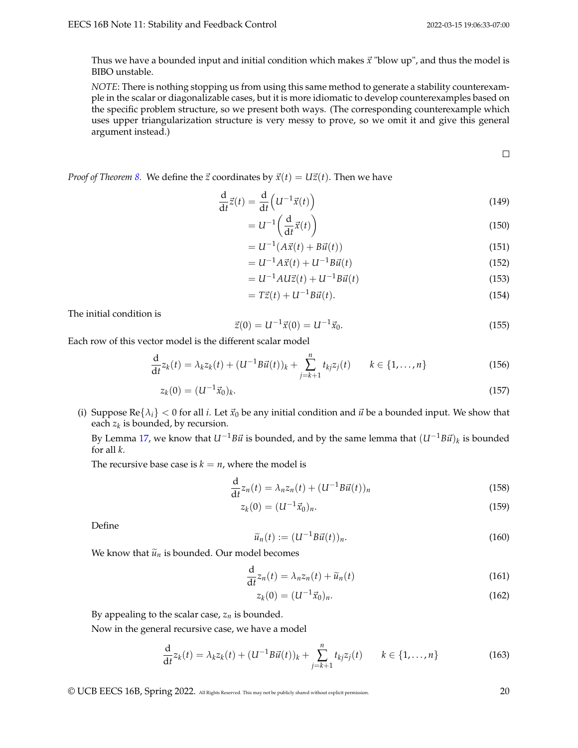Thus we have a bounded input and initial condition which makes  $\vec{x}$  "blow up", and thus the model is BIBO unstable.

*NOTE*: There is nothing stopping us from using this same method to generate a stability counterexample in the scalar or diagonalizable cases, but it is more idiomatic to develop counterexamples based on the specific problem structure, so we present both ways. (The corresponding counterexample which uses upper triangularization structure is very messy to prove, so we omit it and give this general argument instead.)

 $\Box$ 

*Proof of Theorem [8.](#page-2-1)* We define the  $\vec{z}$  coordinates by  $\vec{x}(t) = U\vec{z}(t)$ . Then we have

$$
\frac{\mathrm{d}}{\mathrm{d}t}\vec{z}(t) = \frac{\mathrm{d}}{\mathrm{d}t}\left(U^{-1}\vec{x}(t)\right) \tag{149}
$$

$$
=U^{-1}\left(\frac{\mathrm{d}}{\mathrm{d}t}\vec{x}(t)\right) \tag{150}
$$

$$
=U^{-1}(A\vec{x}(t) + B\vec{u}(t))
$$
\n(151)

$$
=U^{-1}A\vec{x}(t) + U^{-1}B\vec{u}(t)
$$
\n(152)

$$
=U^{-1}A U\vec{z}(t) + U^{-1}B\vec{u}(t)
$$
\n(153)

$$
= T\vec{z}(t) + U^{-1}B\vec{u}(t).
$$
 (154)

The initial condition is

$$
\vec{z}(0) = U^{-1}\vec{x}(0) = U^{-1}\vec{x}_0.
$$
\n(155)

Each row of this vector model is the different scalar model

$$
\frac{d}{dt}z_k(t) = \lambda_k z_k(t) + (U^{-1}B\vec{u}(t))_k + \sum_{j=k+1}^n t_{kj}z_j(t) \qquad k \in \{1, ..., n\}
$$
\n(156)

$$
z_k(0) = (U^{-1}\vec{x}_0)_k. \tag{157}
$$

(i) Suppose  $\text{Re} \{\lambda_i\} < 0$  for all *i*. Let  $\vec{x}_0$  be any initial condition and  $\vec{u}$  be a bounded input. We show that each *z<sup>k</sup>* is bounded, by recursion.

By Lemma [17,](#page-15-0) we know that  $U^{-1}B\vec{u}$  is bounded, and by the same lemma that  $(U^{-1}B\vec{u})_k$  is bounded for all *k*.

The recursive base case is  $k = n$ , where the model is

$$
\frac{\mathrm{d}}{\mathrm{d}t}z_n(t) = \lambda_n z_n(t) + (U^{-1}B\vec{u}(t))_n
$$
\n(158)

$$
z_k(0) = (U^{-1}\vec{x}_0)_n.
$$
\n(159)

Define

$$
\widetilde{u}_n(t) := (U^{-1}B\vec{u}(t))_n.
$$
\n(160)

We know that  $\tilde{u}_n$  is bounded. Our model becomes

$$
\frac{\mathrm{d}}{\mathrm{d}t}z_n(t) = \lambda_n z_n(t) + \widetilde{u}_n(t) \tag{161}
$$

$$
z_k(0) = (U^{-1}\vec{x}_0)_n.
$$
 (162)

By appealing to the scalar case,  $z_n$  is bounded.

Now in the general recursive case, we have a model

$$
\frac{d}{dt}z_k(t) = \lambda_k z_k(t) + (U^{-1}B\vec{u}(t))_k + \sum_{j=k+1}^n t_{kj}z_j(t) \qquad k \in \{1, ..., n\}
$$
\n(163)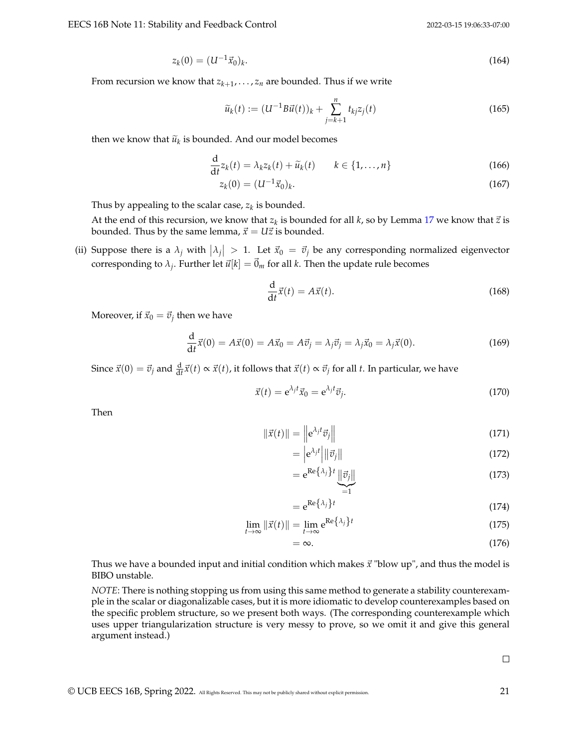$$
z_k(0) = (U^{-1}\vec{x}_0)_k. \tag{164}
$$

From recursion we know that  $z_{k+1},\ldots,z_n$  are bounded. Thus if we write

$$
\widetilde{u}_k(t) := (U^{-1}B\vec{u}(t))_k + \sum_{j=k+1}^n t_{kj}z_j(t)
$$
\n(165)

then we know that  $\widetilde{u}_k$  is bounded. And our model becomes

$$
\frac{\mathrm{d}}{\mathrm{d}t}z_k(t) = \lambda_k z_k(t) + \widetilde{u}_k(t) \qquad k \in \{1, \dots, n\}
$$
\n(166)

$$
z_k(0) = (U^{-1}\vec{x}_0)_k. \tag{167}
$$

Thus by appealing to the scalar case, *z<sup>k</sup>* is bounded.

At the end of this recursion, we know that  $z_k$  is bounded for all *k*, so by Lemma [17](#page-15-0) we know that  $\vec{z}$  is bounded. Thus by the same lemma,  $\vec{x} = U\vec{z}$  is bounded.

(ii) Suppose there is a  $\lambda_j$  with  $|\lambda_j| > 1$ . Let  $\vec{x}_0 = \vec{v}_j$  be any corresponding normalized eigenvector corresponding to  $\lambda_j$ . Further let  $\vec{u}[k] = \vec{0}_m$  for all *k*. Then the update rule becomes

$$
\frac{\mathrm{d}}{\mathrm{d}t}\vec{x}(t) = A\vec{x}(t). \tag{168}
$$

Moreover, if  $\vec{x}_0 = \vec{v}_j$  then we have

$$
\frac{\mathrm{d}}{\mathrm{d}t}\vec{x}(0) = A\vec{x}(0) = A\vec{x}_0 = A\vec{v}_j = \lambda_j\vec{v}_j = \lambda_j\vec{x}_0 = \lambda_j\vec{x}(0). \tag{169}
$$

Since  $\vec{x}(0) = \vec{v}_j$  and  $\frac{d}{dt}\vec{x}(t) \propto \vec{x}(t)$ , it follows that  $\vec{x}(t) \propto \vec{v}_j$  for all *t*. In particular, we have

$$
\vec{x}(t) = e^{\lambda_j t} \vec{x}_0 = e^{\lambda_j t} \vec{v}_j.
$$
\n(170)

Then

$$
\|\vec{x}(t)\| = \left\| e^{\lambda_j t} \vec{v}_j \right\| \tag{171}
$$

$$
= \left| e^{\lambda_j t} \right| \left\| \vec{v}_j \right\| \tag{172}
$$

$$
= e^{\operatorname{Re}\left\{\lambda_j\right\}t} \underbrace{\|\vec{v}_j\|}_{=1} \tag{173}
$$

$$
= e^{\operatorname{Re}\left\{\lambda_j\right\}t} \tag{174}
$$

$$
\lim_{t \to \infty} \|\vec{x}(t)\| = \lim_{t \to \infty} e^{\text{Re}\{\lambda_j\}t} \tag{175}
$$

$$
=\infty.\tag{176}
$$

Thus we have a bounded input and initial condition which makes  $\vec{x}$  "blow up", and thus the model is BIBO unstable.

*NOTE*: There is nothing stopping us from using this same method to generate a stability counterexample in the scalar or diagonalizable cases, but it is more idiomatic to develop counterexamples based on the specific problem structure, so we present both ways. (The corresponding counterexample which uses upper triangularization structure is very messy to prove, so we omit it and give this general argument instead.)

 $\Box$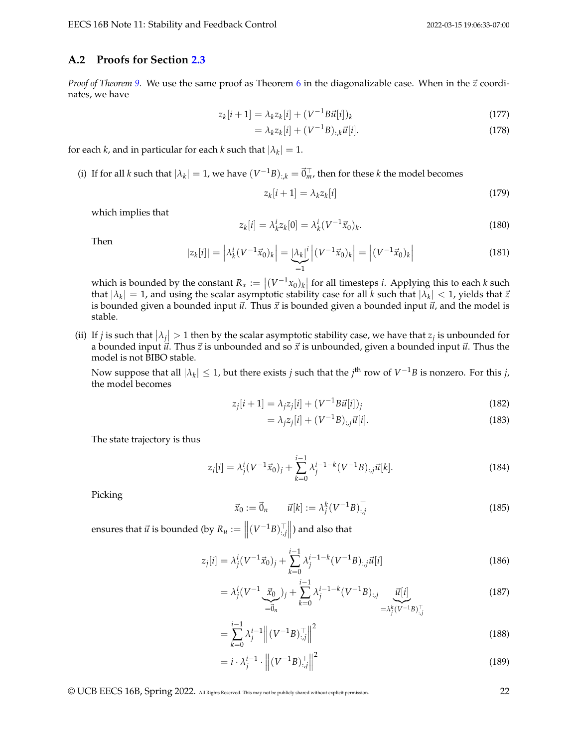#### <span id="page-21-0"></span>**A.2 Proofs for Section [2.3](#page-3-1)**

*Proof of Theorem [9.](#page-3-0)* We use the same proof as Theorem [6](#page-1-1) in the diagonalizable case. When in the  $\vec{z}$  coordinates, we have

$$
z_k[i+1] = \lambda_k z_k[i] + (V^{-1}B\vec{u}[i])_k
$$
\n(177)

$$
= \lambda_k z_k[i] + (V^{-1}B)_{;k} \vec{u}[i]. \tag{178}
$$

for each *k*, and in particular for each *k* such that  $|\lambda_k| = 1$ .

(i) If for all *k* such that  $|\lambda_k| = 1$ , we have  $(V^{-1}B)_{:,k} = \vec{0}_{m}^{\top}$ , then for these *k* the model becomes

$$
z_k[i+1] = \lambda_k z_k[i] \tag{179}
$$

which implies that

$$
z_k[i] = \lambda_k^i z_k[0] = \lambda_k^i (V^{-1} \vec{x}_0)_k.
$$
\n(180)

Then

$$
|z_k[i]| = \left|\lambda_k^i (V^{-1}\vec{x}_0)_k\right| = \underbrace{|\lambda_k|^i}_{=1} \left| (V^{-1}\vec{x}_0)_k \right| = \left| (V^{-1}\vec{x}_0)_k \right| \tag{181}
$$

which is bounded by the constant  $R_x := |(V^{-1}x_0)_k|$  for all timesteps *i*. Applying this to each *k* such that  $|\lambda_k|=1$ , and using the scalar asymptotic stability case for all  $k$  such that  $|\lambda_k| < 1$ , yields that  $\vec{z}$ is bounded given a bounded input  $\vec{u}$ . Thus  $\vec{x}$  is bounded given a bounded input  $\vec{u}$ , and the model is stable.

(ii) If *j* is such that  $|\lambda_j| > 1$  then by the scalar asymptotic stability case, we have that  $z_j$  is unbounded for a bounded input  $\vec{u}$ . Thus  $\vec{z}$  is unbounded and so  $\vec{x}$  is unbounded, given a bounded input  $\vec{u}$ . Thus the model is not BIBO stable.

Now suppose that all  $|\lambda_k|\leq 1$ , but there exists *j* such that the *j*<sup>th</sup> row of  $V^{-1}B$  is nonzero. For this *j*, the model becomes

$$
z_j[i+1] = \lambda_j z_j[i] + (V^{-1}B\vec{u}[i])_j
$$
\n(182)

$$
= \lambda_j z_j[i] + (V^{-1}B)_{:,j}\vec{u}[i].
$$
\n(183)

The state trajectory is thus

$$
z_j[i] = \lambda_j^i (V^{-1} \vec{x}_0)_j + \sum_{k=0}^{i-1} \lambda_j^{i-1-k} (V^{-1}B)_{:,j} \vec{u}[k].
$$
\n(184)

Picking

$$
\vec{x}_0 := \vec{0}_n \qquad \vec{u}[k] := \lambda_j^k (V^{-1}B)_{:,j}^\top \tag{185}
$$

ensures that  $\vec{u}$  is bounded (by  $R_u := \left\| \left( V^{-1} B \right)_{:,j}^\top \right\|$ ) and also that

$$
z_j[i] = \lambda_j^i (V^{-1} \vec{x}_0)_j + \sum_{k=0}^{i-1} \lambda_j^{i-1-k} (V^{-1}B)_{:,j} \vec{u}[i] \tag{186}
$$

$$
= \lambda_j^i (V^{-1} \underbrace{\vec{x}_0}_{=\vec{0}_n})_j + \sum_{k=0}^{i-1} \lambda_j^{i-1-k} (V^{-1}B)_{:,j} \underbrace{\vec{u}[i]}_{= \lambda_j^k (V^{-1}B)_{:,j}^\top}
$$
(187)

$$
= \sum_{k=0}^{i-1} \lambda_j^{i-1} \left\| (V^{-1}B)_{:,j}^\top \right\|^2 \tag{188}
$$

$$
= i \cdot \lambda_j^{i-1} \cdot \left\| \left( V^{-1} B \right)_{:,j}^\top \right\|^2 \tag{189}
$$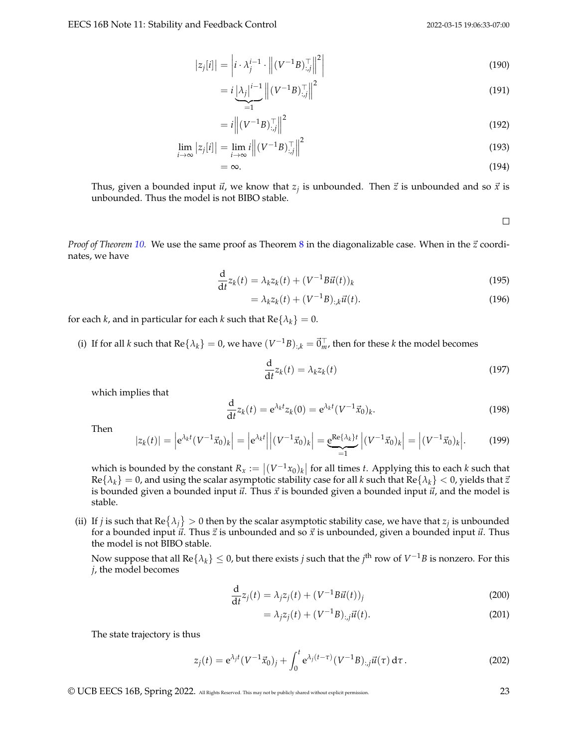$$
|z_j[i]| = \left|i \cdot \lambda_j^{i-1} \cdot \left\| (V^{-1}B)_{:,j}^\top \right\|^2 \right| \tag{190}
$$

$$
= i \underbrace{| \lambda_j |^{i-1}}_{=1} \left\| (V^{-1} B)_{:,j}^\top \right\|^2 \tag{191}
$$

$$
=i\left\| \left(V^{-1}B\right)_{:,j}^{\top} \right\|^2 \tag{192}
$$

$$
\lim_{i \to \infty} |z_j[i]| = \lim_{i \to \infty} i \left\| \left( V^{-1} B \right)_{:,j}^\top \right\|^2 \tag{193}
$$

$$
=\infty.\tag{194}
$$

Thus, given a bounded input  $\vec{u}$ , we know that  $z_j$  is unbounded. Then  $\vec{z}$  is unbounded and so  $\vec{x}$  is unbounded. Thus the model is not BIBO stable.

 $\Box$ 

*Proof of Theorem* [10.](#page-4-0) We use the same proof as Theorem [8](#page-2-1) in the diagonalizable case. When in the  $\vec{z}$  coordinates, we have

$$
\frac{\mathrm{d}}{\mathrm{d}t}z_k(t) = \lambda_k z_k(t) + (V^{-1}B\vec{u}(t))_k
$$
\n(195)

$$
= \lambda_k z_k(t) + (V^{-1}B)_{:,k} \vec{u}(t).
$$
\n(196)

for each *k*, and in particular for each *k* such that  $Re\{\lambda_k\} = 0$ .

(i) If for all *k* such that  $Re\{\lambda_k\} = 0$ , we have  $(V^{-1}B)_{:,k} = \vec{0}^{\top}_m$ , then for these *k* the model becomes

$$
\frac{\mathrm{d}}{\mathrm{d}t}z_k(t) = \lambda_k z_k(t) \tag{197}
$$

which implies that

$$
\frac{d}{dt}z_k(t) = e^{\lambda_k t}z_k(0) = e^{\lambda_k t} (V^{-1}\vec{x}_0)_k.
$$
\n(198)

Then

$$
|z_k(t)| = \left| e^{\lambda_k t} (V^{-1} \vec{x}_0)_k \right| = \left| e^{\lambda_k t} \right| \left| (V^{-1} \vec{x}_0)_k \right| = \underbrace{e^{\text{Re}\{\lambda_k\}t}}_{=1} \left| (V^{-1} \vec{x}_0)_k \right| = \left| (V^{-1} \vec{x}_0)_k \right|.
$$
 (199)

which is bounded by the constant  $R_x := |(V^{-1}x_0)_k|$  for all times *t*. Applying this to each *k* such that  $Re{\lambda_k} = 0$ , and using the scalar asymptotic stability case for all *k* such that  $Re{\lambda_k} < 0$ , yields that  $\vec{z}$ is bounded given a bounded input  $\vec{u}$ . Thus  $\vec{x}$  is bounded given a bounded input  $\vec{u}$ , and the model is stable.

(ii) If *j* is such that  $\text{Re} \{\lambda_j\} > 0$  then by the scalar asymptotic stability case, we have that  $z_j$  is unbounded for a bounded input  $\vec{u}$ . Thus  $\vec{z}$  is unbounded and so  $\vec{x}$  is unbounded, given a bounded input  $\vec{u}$ . Thus the model is not BIBO stable.

Now suppose that all  $\text{Re}\{\lambda_k\}\leq 0$ , but there exists  $j$  such that the  $j^{\text{th}}$  row of  $V^{-1}B$  is nonzero. For this *j*, the model becomes

$$
\frac{\mathrm{d}}{\mathrm{d}t}z_j(t) = \lambda_j z_j(t) + (V^{-1}B\vec{u}(t))_j
$$
\n(200)

$$
= \lambda_j z_j(t) + (V^{-1}B)_{:,j}\vec{u}(t). \tag{201}
$$

The state trajectory is thus

$$
z_j(t) = e^{\lambda_j t} (V^{-1} \vec{x}_0)_j + \int_0^t e^{\lambda_j (t-\tau)} (V^{-1} B)_{:,j} \vec{u}(\tau) d\tau.
$$
 (202)